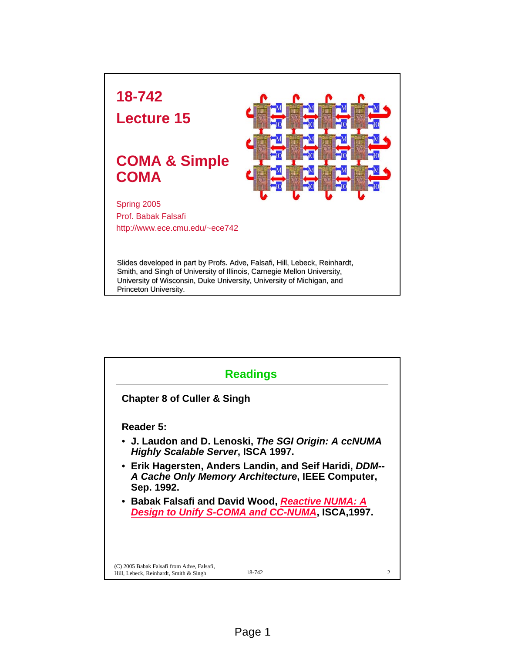

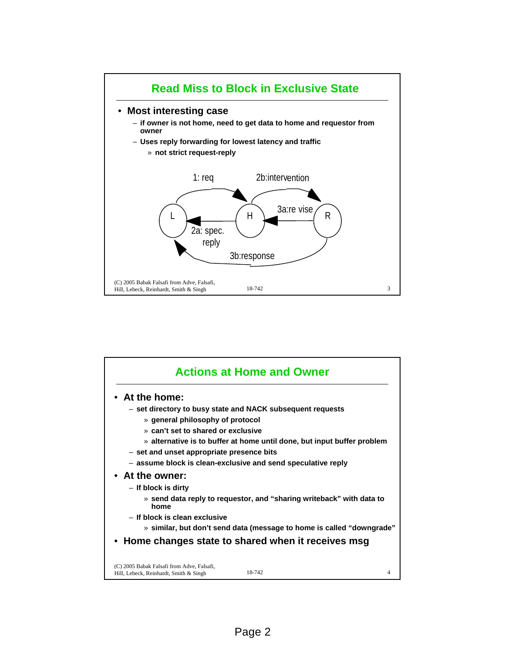

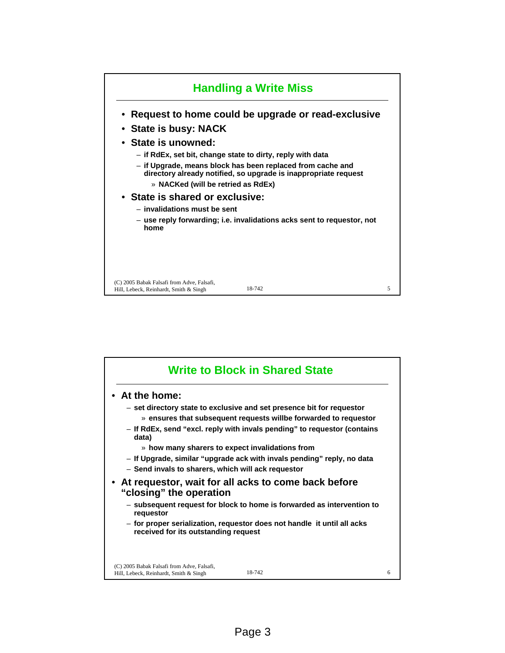

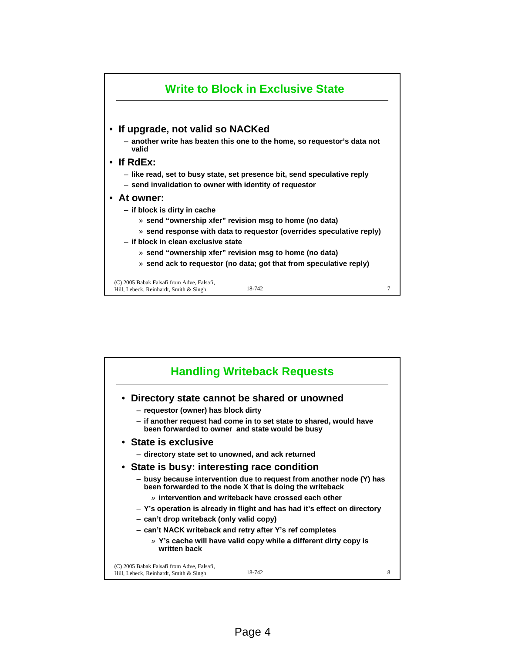

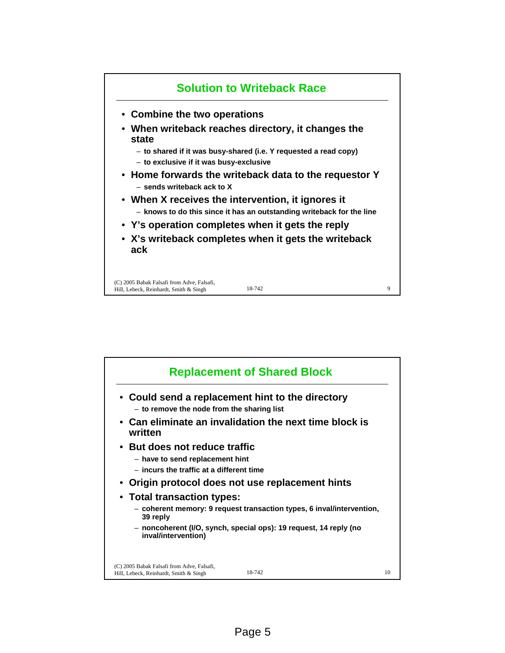

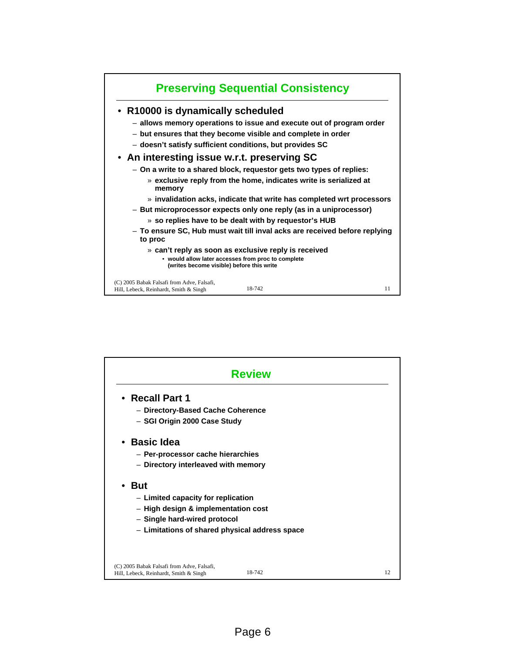

| <b>Review</b>                                                                        |        |    |  |
|--------------------------------------------------------------------------------------|--------|----|--|
| • Recall Part 1                                                                      |        |    |  |
| - Directory-Based Cache Coherence<br>- SGI Origin 2000 Case Study                    |        |    |  |
| • Basic Idea                                                                         |        |    |  |
| - Per-processor cache hierarchies                                                    |        |    |  |
| - Directory interleaved with memory                                                  |        |    |  |
| <b>But</b>                                                                           |        |    |  |
| - Limited capacity for replication                                                   |        |    |  |
| - High design & implementation cost                                                  |        |    |  |
| - Single hard-wired protocol                                                         |        |    |  |
| - Limitations of shared physical address space                                       |        |    |  |
|                                                                                      |        |    |  |
| (C) 2005 Babak Falsafi from Adve. Falsafi.<br>Hill, Lebeck, Reinhardt, Smith & Singh | 18-742 | 12 |  |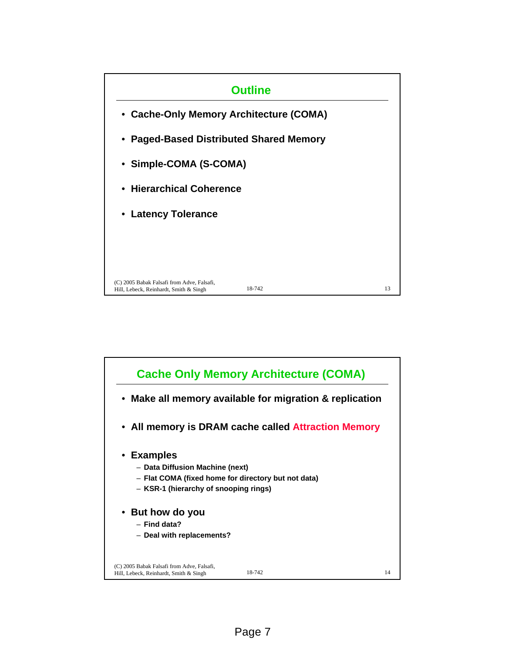

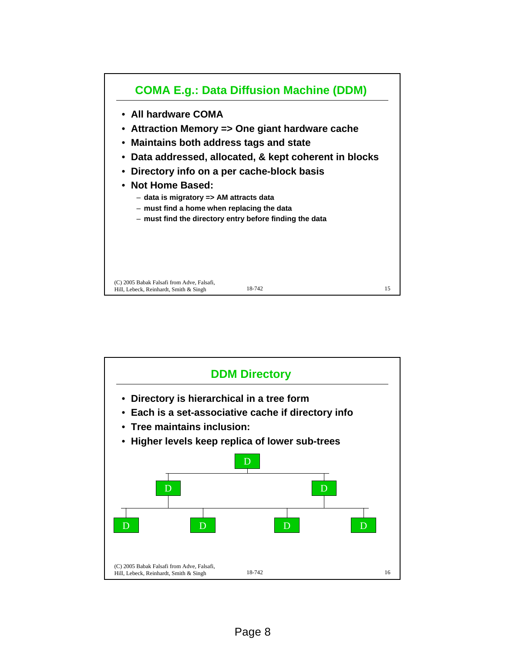

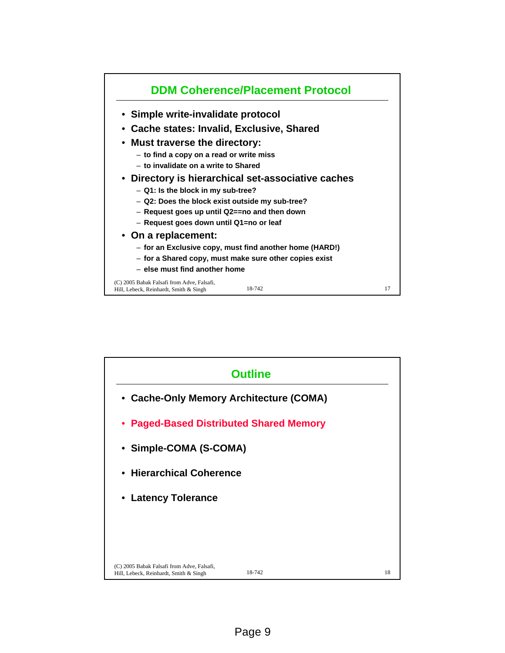

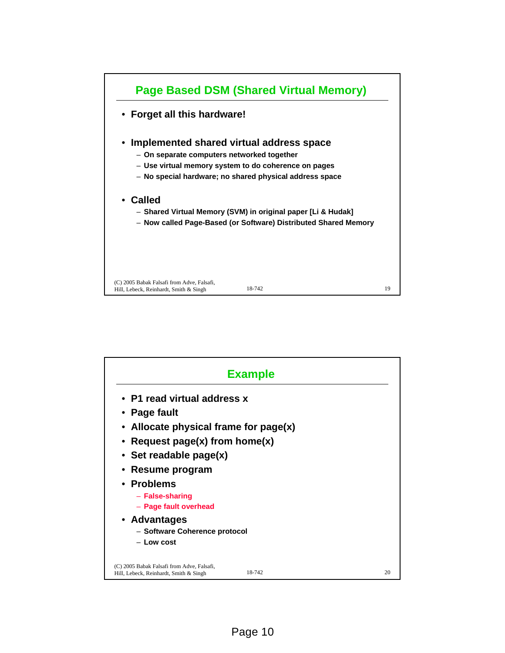

| <b>Example</b>                                                                                                                                   |        |    |
|--------------------------------------------------------------------------------------------------------------------------------------------------|--------|----|
| • P1 read virtual address x<br>• Page fault<br>• Allocate physical frame for page(x)<br>• Request page(x) from home(x)<br>• Set readable page(x) |        |    |
| Resume program<br>• Problems<br>- False-sharing<br>- Page fault overhead<br>• Advantages<br>- Software Coherence protocol<br>$-$ Low cost        |        |    |
| (C) 2005 Babak Falsafi from Adve, Falsafi,<br>Hill, Lebeck, Reinhardt, Smith & Singh                                                             | 18-742 | 20 |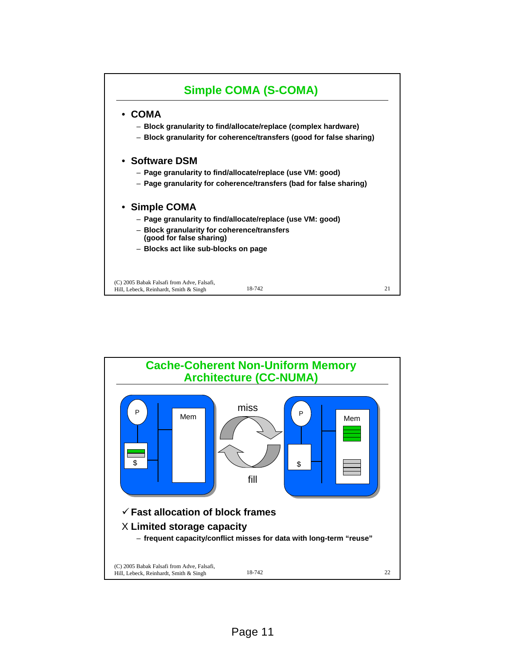

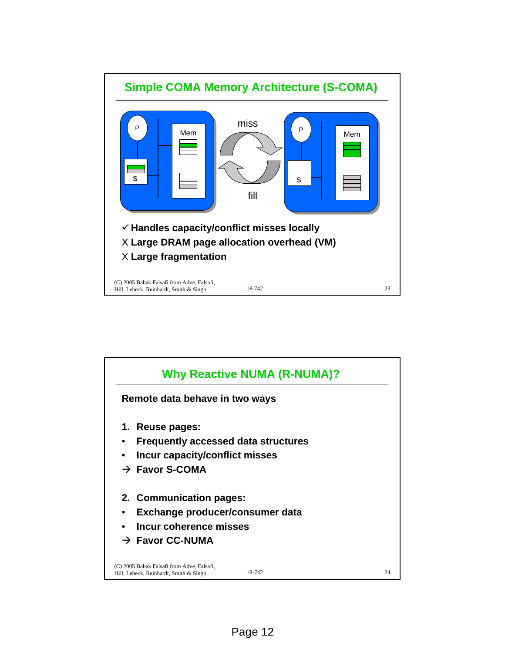

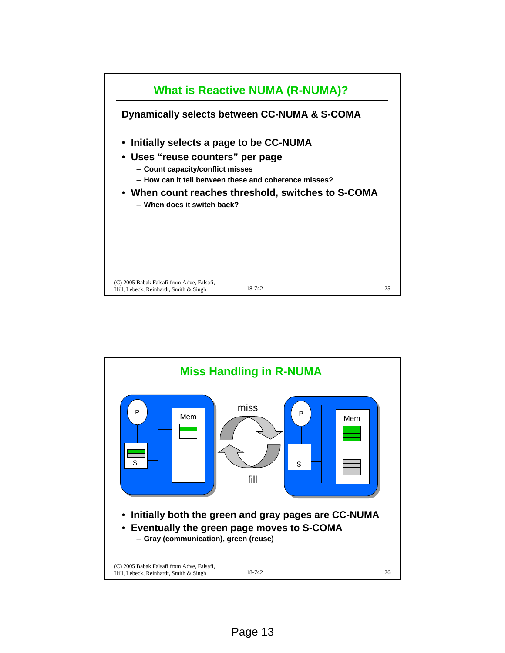

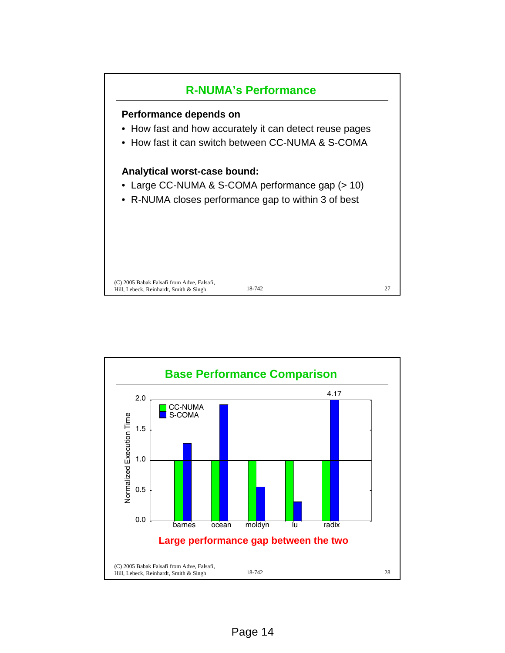